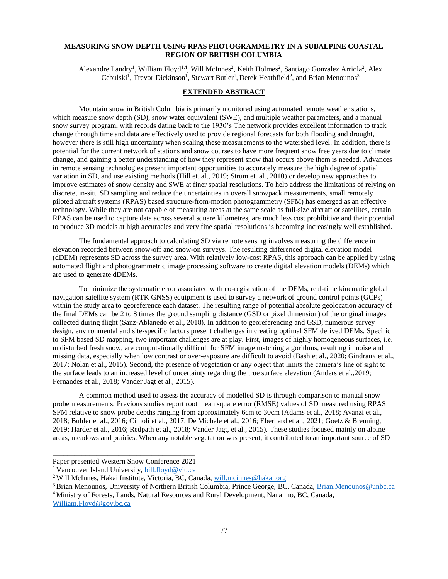## **MEASURING SNOW DEPTH USING RPAS PHOTOGRAMMETRY IN A SUBALPINE COASTAL REGION OF BRITISH COLUMBIA**

Alexandre Landry<sup>1</sup>, William Floyd<sup>1,4</sup>, Will McInnes<sup>2</sup>, Keith Holmes<sup>2</sup>, Santiago Gonzalez Arriola<sup>2</sup>, Alex Cebulski<sup>1</sup>, Trevor Dickinson<sup>1</sup>, Stewart Butler<sup>1</sup>, Derek Heathfield<sup>2</sup>, and Brian Menounos<sup>3</sup>

## **EXTENDED ABSTRACT**

Mountain snow in British Columbia is primarily monitored using automated remote weather stations, which measure snow depth (SD), snow water equivalent (SWE), and multiple weather parameters, and a manual snow survey program, with records dating back to the 1930's The network provides excellent information to track change through time and data are effectively used to provide regional forecasts for both flooding and drought, however there is still high uncertainty when scaling these measurements to the watershed level. In addition, there is potential for the current network of stations and snow courses to have more frequent snow free years due to climate change, and gaining a better understanding of how they represent snow that occurs above them is needed. Advances in remote sensing technologies present important opportunities to accurately measure the high degree of spatial variation in SD, and use existing methods (Hill et. al., 2019; Strum et. al., 2010) or develop new approaches to improve estimates of snow density and SWE at finer spatial resolutions. To help address the limitations of relying on discrete, in-situ SD sampling and reduce the uncertainties in overall snowpack measurements, small remotely piloted aircraft systems (RPAS) based structure-from-motion photogrammetry (SFM) has emerged as an effective technology. While they are not capable of measuring areas at the same scale as full-size aircraft or satellites, certain RPAS can be used to capture data across several square kilometres, are much less cost prohibitive and their potential to produce 3D models at high accuracies and very fine spatial resolutions is becoming increasingly well established.

The fundamental approach to calculating SD via remote sensing involves measuring the difference in elevation recorded between snow-off and snow-on surveys. The resulting differenced digital elevation model (dDEM) represents SD across the survey area. With relatively low-cost RPAS, this approach can be applied by using automated flight and photogrammetric image processing software to create digital elevation models (DEMs) which are used to generate dDEMs.

To minimize the systematic error associated with co-registration of the DEMs, real-time kinematic global navigation satellite system (RTK GNSS) equipment is used to survey a network of ground control points (GCPs) within the study area to georeference each dataset. The resulting range of potential absolute geolocation accuracy of the final DEMs can be 2 to 8 times the ground sampling distance (GSD or pixel dimension) of the original images collected during flight (Sanz-Ablanedo et al., 2018). In addition to georeferencing and GSD, numerous survey design, environmental and site-specific factors present challenges in creating optimal SFM derived DEMs. Specific to SFM based SD mapping, two important challenges are at play. First, images of highly homogeneous surfaces, i.e. undisturbed fresh snow, are computationally difficult for SFM image matching algorithms, resulting in noise and missing data, especially when low contrast or over-exposure are difficult to avoid (Bash et al., 2020; Gindraux et al., 2017; Nolan et al., 2015). Second, the presence of vegetation or any object that limits the camera's line of sight to the surface leads to an increased level of uncertainty regarding the true surface elevation (Anders et al.,2019; Fernandes et al., 2018; Vander Jagt et al., 2015).

A common method used to assess the accuracy of modelled SD is through comparison to manual snow probe measurements. Previous studies report root mean square error (RMSE) values of SD measured using RPAS SFM relative to snow probe depths ranging from approximately 6cm to 30cm (Adams et al., 2018; Avanzi et al., 2018; Buhler et al., 2016; Cimoli et al., 2017; De Michele et al., 2016; Eberhard et al., 2021; Goetz & Brenning, 2019; Harder et al., 2016; Redpath et al., 2018; Vander Jagt, et al., 2015). These studies focused mainly on alpine areas, meadows and prairies. When any notable vegetation was present, it contributed to an important source of SD

\_\_\_\_\_\_\_\_\_\_\_\_\_\_\_\_\_\_\_\_\_\_\_\_\_\_\_\_\_\_\_\_\_\_\_\_\_\_\_ Paper presented Western Snow Conference 2021

<sup>&</sup>lt;sup>1</sup> Vancouver Island University, bill.floyd@viu.ca

<sup>&</sup>lt;sup>2</sup> Will McInnes, Hakai Institute, Victoria, BC, Canada, [will.mcinnes@hakai.org](mailto:will.mcinnes@hakai.org)

<sup>&</sup>lt;sup>3</sup> Brian Menounos, University of Northern British Columbia, Prince George, BC, Canada, [Brian.Menounos@unbc.ca](mailto:Brian.Menounos@unbc.ca) <sup>4</sup>Ministry of Forests, Lands, Natural Resources and Rural Development, Nanaimo, BC, Canada,

William.Floyd@gov.bc.ca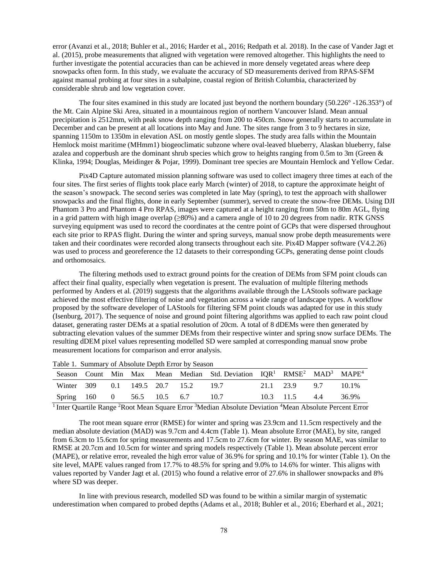error (Avanzi et al., 2018; Buhler et al., 2016; Harder et al., 2016; Redpath et al. 2018). In the case of Vander Jagt et al. (2015), probe measurements that aligned with vegetation were removed altogether. This highlights the need to further investigate the potential accuracies than can be achieved in more densely vegetated areas where deep snowpacks often form. In this study, we evaluate the accuracy of SD measurements derived from RPAS-SFM against manual probing at four sites in a subalpine, coastal region of British Columbia, characterized by considerable shrub and low vegetation cover.

The four sites examined in this study are located just beyond the northern boundary (50.226° -126.353°) of the Mt. Cain Alpine Ski Area, situated in a mountainous region of northern Vancouver Island. Mean annual precipitation is 2512mm, with peak snow depth ranging from 200 to 450cm. Snow generally starts to accumulate in December and can be present at all locations into May and June. The sites range from 3 to 9 hectares in size, spanning 1150m to 1350m in elevation ASL on mostly gentle slopes. The study area falls within the Mountain Hemlock moist maritime (MHmm1) biogeoclimatic subzone where oval-leaved blueberry, Alaskan blueberry, false azalea and copperbush are the dominant shrub species which grow to heights ranging from 0.5m to 3m (Green & Klinka, 1994; Douglas, Meidinger & Pojar, 1999). Dominant tree species are Mountain Hemlock and Yellow Cedar.

Pix4D Capture automated mission planning software was used to collect imagery three times at each of the four sites. The first series of flights took place early March (winter) of 2018, to capture the approximate height of the season's snowpack. The second series was completed in late May (spring), to test the approach with shallower snowpacks and the final flights, done in early September (summer), served to create the snow-free DEMs. Using DJI Phantom 3 Pro and Phantom 4 Pro RPAS, images were captured at a height ranging from 50m to 80m AGL, flying in a grid pattern with high image overlap (≥80%) and a camera angle of 10 to 20 degrees from nadir. RTK GNSS surveying equipment was used to record the coordinates at the centre point of GCPs that were dispersed throughout each site prior to RPAS flight. During the winter and spring surveys, manual snow probe depth measurements were taken and their coordinates were recorded along transects throughout each site. Pix4D Mapper software (V4.2.26) was used to process and georeference the 12 datasets to their corresponding GCPs, generating dense point clouds and orthomosaics.

The filtering methods used to extract ground points for the creation of DEMs from SFM point clouds can affect their final quality, especially when vegetation is present. The evaluation of multiple filtering methods performed by Anders et al. (2019) suggests that the algorithms available through the LAStools software package achieved the most effective filtering of noise and vegetation across a wide range of landscape types. A workflow proposed by the software developer of LAStools for filtering SFM point clouds was adapted for use in this study (Isenburg, 2017). The sequence of noise and ground point filtering algorithms was applied to each raw point cloud dataset, generating raster DEMs at a spatial resolution of 20cm. A total of 8 dDEMs were then generated by subtracting elevation values of the summer DEMs from their respective winter and spring snow surface DEMs. The resulting dDEM pixel values representing modelled SD were sampled at corresponding manual snow probe measurement locations for comparison and error analysis.

|  |  |                                     | Season Count Min Max Mean Median Std. Deviation IQR <sup>1</sup> RMSE <sup>2</sup> MAD <sup>3</sup> MAPE <sup>4</sup> |                              |       |
|--|--|-------------------------------------|-----------------------------------------------------------------------------------------------------------------------|------------------------------|-------|
|  |  | Winter 309 0.1 149.5 20.7 15.2 19.7 |                                                                                                                       | 21.1 23.9 9.7                | 10.1% |
|  |  | Spring 160 0 56.5 10.5 6.7 10.7     |                                                                                                                       | $10.3$ $11.5$ $4.4$ $36.9\%$ |       |

Table 1. Summary of Absolute Depth Error by Season

<sup>1</sup> Inter Quartile Range <sup>2</sup>Root Mean Square Error <sup>3</sup>Median Absolute Deviation <sup>4</sup>Mean Absolute Percent Error

The root mean square error (RMSE) for winter and spring was 23.9cm and 11.5cm respectively and the median absolute deviation (MAD) was 9.7cm and 4.4cm (Table 1). Mean absolute Error (MAE), by site, ranged from 6.3cm to 15.6cm for spring measurements and 17.5cm to 27.6cm for winter. By season MAE, was similar to RMSE at 20.7cm and 10.5cm for winter and spring models respectively (Table 1). Mean absolute percent error (MAPE), or relative error, revealed the high error value of 36.9% for spring and 10.1% for winter (Table 1). On the site level, MAPE values ranged from 17.7% to 48.5% for spring and 9.0% to 14.6% for winter. This aligns with values reported by Vander Jagt et al. (2015) who found a relative error of 27.6% in shallower snowpacks and 8% where SD was deeper.

In line with previous research, modelled SD was found to be within a similar margin of systematic underestimation when compared to probed depths (Adams et al., 2018; Buhler et al., 2016; Eberhard et al., 2021;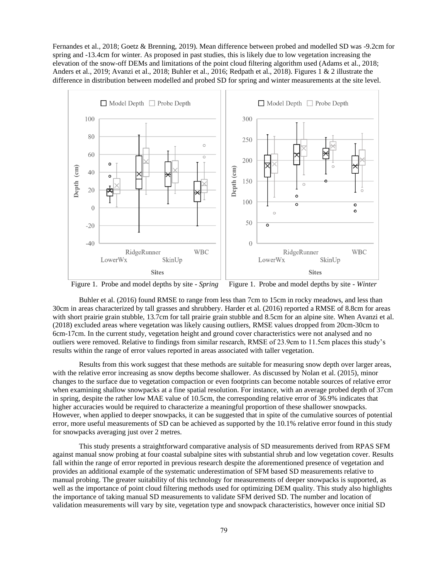Fernandes et al., 2018; Goetz & Brenning, 2019). Mean difference between probed and modelled SD was -9.2cm for spring and -13.4cm for winter. As proposed in past studies, this is likely due to low vegetation increasing the elevation of the snow-off DEMs and limitations of the point cloud filtering algorithm used (Adams et al., 2018; Anders et al., 2019; Avanzi et al., 2018; Buhler et al., 2016; Redpath et al., 2018). Figures 1 & 2 illustrate the difference in distribution between modelled and probed SD for spring and winter measurements at the site level.



Figure 1. Probe and model depths by site - *Spring* Figure 1. Probe and model depths by site - *Winter*

Buhler et al. (2016) found RMSE to range from less than 7cm to 15cm in rocky meadows, and less than 30cm in areas characterized by tall grasses and shrubbery. Harder et al. (2016) reported a RMSE of 8.8cm for areas with short prairie grain stubble, 13.7cm for tall prairie grain stubble and 8.5cm for an alpine site. When Avanzi et al. (2018) excluded areas where vegetation was likely causing outliers, RMSE values dropped from 20cm-30cm to 6cm-17cm. In the current study, vegetation height and ground cover characteristics were not analysed and no outliers were removed. Relative to findings from similar research, RMSE of 23.9cm to 11.5cm places this study's results within the range of error values reported in areas associated with taller vegetation.

Results from this work suggest that these methods are suitable for measuring snow depth over larger areas, with the relative error increasing as snow depths become shallower. As discussed by Nolan et al. (2015), minor changes to the surface due to vegetation compaction or even footprints can become notable sources of relative error when examining shallow snowpacks at a fine spatial resolution. For instance, with an average probed depth of 37cm in spring, despite the rather low MAE value of 10.5cm, the corresponding relative error of 36.9% indicates that higher accuracies would be required to characterize a meaningful proportion of these shallower snowpacks. However, when applied to deeper snowpacks, it can be suggested that in spite of the cumulative sources of potential error, more useful measurements of SD can be achieved as supported by the 10.1% relative error found in this study for snowpacks averaging just over 2 metres.

This study presents a straightforward comparative analysis of SD measurements derived from RPAS SFM against manual snow probing at four coastal subalpine sites with substantial shrub and low vegetation cover. Results fall within the range of error reported in previous research despite the aforementioned presence of vegetation and provides an additional example of the systematic underestimation of SFM based SD measurements relative to manual probing. The greater suitability of this technology for measurements of deeper snowpacks is supported, as well as the importance of point cloud filtering methods used for optimizing DEM quality. This study also highlights the importance of taking manual SD measurements to validate SFM derived SD. The number and location of validation measurements will vary by site, vegetation type and snowpack characteristics, however once initial SD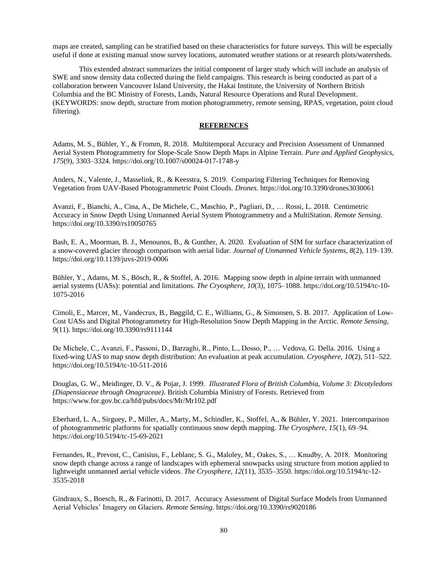maps are created, sampling can be stratified based on these characteristics for future surveys. This will be especially useful if done at existing manual snow survey locations, automated weather stations or at research plots/watersheds.

This extended abstract summarizes the initial component of larger study which will include an analysis of SWE and snow density data collected during the field campaigns. This research is being conducted as part of a collaboration between Vancouver Island University, the Hakai Institute, the University of Northern British Columbia and the BC Ministry of Forests, Lands, Natural Resource Operations and Rural Development. (KEYWORDS: snow depth, structure from motion photogrammetry, remote sensing, RPAS, vegetation, point cloud filtering).

## **REFERENCES**

Adams, M. S., Bühler, Y., & Fromm, R. 2018. Multitemporal Accuracy and Precision Assessment of Unmanned Aerial System Photogrammetry for Slope-Scale Snow Depth Maps in Alpine Terrain. *Pure and Applied Geophysics*, *175*(9), 3303–3324. https://doi.org/10.1007/s00024-017-1748-y

Anders, N., Valente, J., Masselink, R., & Keesstra, S. 2019. Comparing Filtering Techniques for Removing Vegetation from UAV-Based Photogrammetric Point Clouds. *Drones*. https://doi.org/10.3390/drones3030061

Avanzi, F., Bianchi, A., Cina, A., De Michele, C., Maschio, P., Pagliari, D., … Rossi, L. 2018. Centimetric Accuracy in Snow Depth Using Unmanned Aerial System Photogrammetry and a MultiStation. *Remote Sensing*. https://doi.org/10.3390/rs10050765

Bash, E. A., Moorman, B. J., Menounos, B., & Gunther, A. 2020. Evaluation of SfM for surface characterization of a snow-covered glacier through comparison with aerial lidar. *Journal of Unmanned Vehicle Systems*, *8*(2), 119–139. https://doi.org/10.1139/juvs-2019-0006

Bühler, Y., Adams, M. S., Bösch, R., & Stoffel, A. 2016. Mapping snow depth in alpine terrain with unmanned aerial systems (UASs): potential and limitations. *The Cryosphere*, *10*(3), 1075–1088. https://doi.org/10.5194/tc-10- 1075-2016

Cimoli, E., Marcer, M., Vandecrux, B., Bøggild, C. E., Williams, G., & Simonsen, S. B. 2017. Application of Low-Cost UASs and Digital Photogrammetry for High-Resolution Snow Depth Mapping in the Arctic. *Remote Sensing*, *9*(11). https://doi.org/10.3390/rs9111144

De Michele, C., Avanzi, F., Passoni, D., Barzaghi, R., Pinto, L., Dosso, P., … Vedova, G. Della. 2016. Using a fixed-wing UAS to map snow depth distribution: An evaluation at peak accumulation. *Cryosphere*, *10*(2), 511–522. https://doi.org/10.5194/tc-10-511-2016

Douglas, G. W., Meidinger, D. V., & Pojar, J. 1999. *Illustrated Flora of British Columbia, Volume 3: Dicotyledons (Diapensiaceae through Onagraceae)*. British Columbia Ministry of Forests. Retrieved from https://www.for.gov.bc.ca/hfd/pubs/docs/Mr/Mr102.pdf

Eberhard, L. A., Sirguey, P., Miller, A., Marty, M., Schindler, K., Stoffel, A., & Bühler, Y. 2021. Intercomparison of photogrammetric platforms for spatially continuous snow depth mapping. *The Cryosphere*, *15*(1), 69–94. https://doi.org/10.5194/tc-15-69-2021

Fernandes, R., Prevost, C., Canisius, F., Leblanc, S. G., Maloley, M., Oakes, S., … Knudby, A. 2018. Monitoring snow depth change across a range of landscapes with ephemeral snowpacks using structure from motion applied to lightweight unmanned aerial vehicle videos. *The Cryosphere*, *12*(11), 3535–3550. https://doi.org/10.5194/tc-12- 3535-2018

Gindraux, S., Boesch, R., & Farinotti, D. 2017. Accuracy Assessment of Digital Surface Models from Unmanned Aerial Vehicles' Imagery on Glaciers. *Remote Sensing*. https://doi.org/10.3390/rs9020186